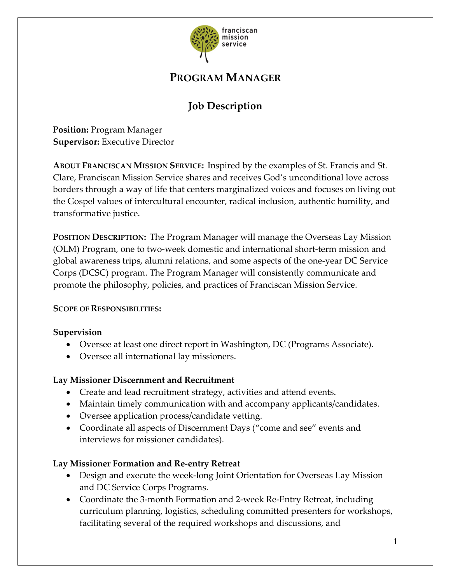

## **PROGRAM MANAGER**

# **Job Description**

**Position:** Program Manager **Supervisor:** Executive Director

**ABOUT FRANCISCAN MISSION SERVICE:** Inspired by the examples of St. Francis and St. Clare, Franciscan Mission Service shares and receives God's unconditional love across borders through a way of life that centers marginalized voices and focuses on living out the Gospel values of intercultural encounter, radical inclusion, authentic humility, and transformative justice.

**POSITION DESCRIPTION:** The Program Manager will manage the Overseas Lay Mission (OLM) Program, one to two-week domestic and international short-term mission and global awareness trips, alumni relations, and some aspects of the one-year DC Service Corps (DCSC) program. The Program Manager will consistently communicate and promote the philosophy, policies, and practices of Franciscan Mission Service.

#### **SCOPE OF RESPONSIBILITIES:**

#### **Supervision**

- Oversee at least one direct report in Washington, DC (Programs Associate).
- Oversee all international lay missioners.

### **Lay Missioner Discernment and Recruitment**

- Create and lead recruitment strategy, activities and attend events.
- Maintain timely communication with and accompany applicants/candidates.
- Oversee application process/candidate vetting.
- Coordinate all aspects of Discernment Days ("come and see" events and interviews for missioner candidates).

### **Lay Missioner Formation and Re-entry Retreat**

- Design and execute the week-long Joint Orientation for Overseas Lay Mission and DC Service Corps Programs.
- Coordinate the 3-month Formation and 2-week Re-Entry Retreat, including curriculum planning, logistics, scheduling committed presenters for workshops, facilitating several of the required workshops and discussions, and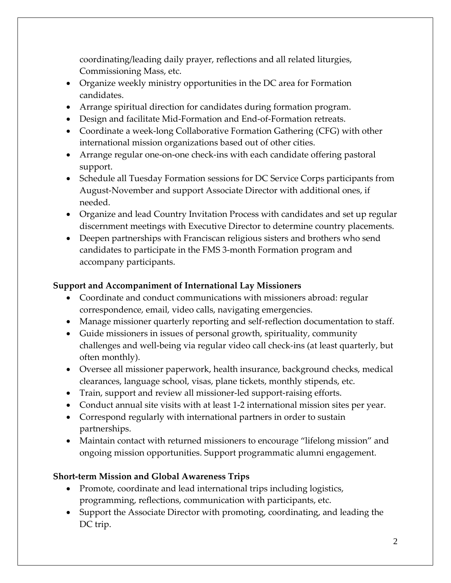coordinating/leading daily prayer, reflections and all related liturgies, Commissioning Mass, etc.

- Organize weekly ministry opportunities in the DC area for Formation candidates.
- Arrange spiritual direction for candidates during formation program.
- Design and facilitate Mid-Formation and End-of-Formation retreats.
- Coordinate a week-long Collaborative Formation Gathering (CFG) with other international mission organizations based out of other cities.
- Arrange regular one-on-one check-ins with each candidate offering pastoral support.
- Schedule all Tuesday Formation sessions for DC Service Corps participants from August-November and support Associate Director with additional ones, if needed.
- Organize and lead Country Invitation Process with candidates and set up regular discernment meetings with Executive Director to determine country placements.
- Deepen partnerships with Franciscan religious sisters and brothers who send candidates to participate in the FMS 3-month Formation program and accompany participants.

### **Support and Accompaniment of International Lay Missioners**

- Coordinate and conduct communications with missioners abroad: regular correspondence, email, video calls, navigating emergencies.
- Manage missioner quarterly reporting and self-reflection documentation to staff.
- Guide missioners in issues of personal growth, spirituality, community challenges and well-being via regular video call check-ins (at least quarterly, but often monthly).
- Oversee all missioner paperwork, health insurance, background checks, medical clearances, language school, visas, plane tickets, monthly stipends, etc.
- Train, support and review all missioner-led support-raising efforts.
- Conduct annual site visits with at least 1-2 international mission sites per year.
- Correspond regularly with international partners in order to sustain partnerships.
- Maintain contact with returned missioners to encourage "lifelong mission" and ongoing mission opportunities. Support programmatic alumni engagement.

### **Short-term Mission and Global Awareness Trips**

- Promote, coordinate and lead international trips including logistics, programming, reflections, communication with participants, etc.
- Support the Associate Director with promoting, coordinating, and leading the DC trip.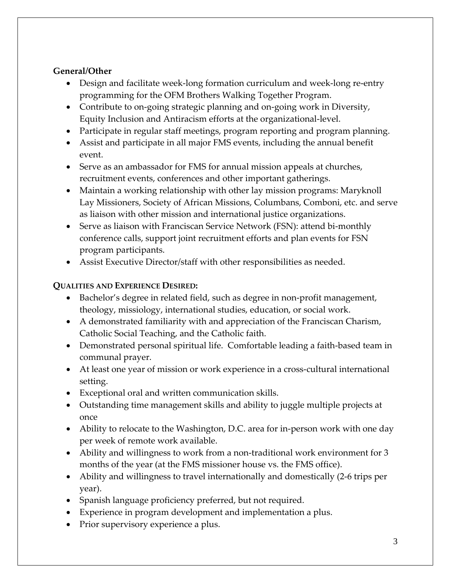#### **General/Other**

- Design and facilitate week-long formation curriculum and week-long re-entry programming for the OFM Brothers Walking Together Program.
- Contribute to on-going strategic planning and on-going work in Diversity, Equity Inclusion and Antiracism efforts at the organizational-level.
- Participate in regular staff meetings, program reporting and program planning.
- Assist and participate in all major FMS events, including the annual benefit event.
- Serve as an ambassador for FMS for annual mission appeals at churches, recruitment events, conferences and other important gatherings.
- Maintain a working relationship with other lay mission programs: Maryknoll Lay Missioners, Society of African Missions, Columbans, Comboni, etc. and serve as liaison with other mission and international justice organizations.
- Serve as liaison with Franciscan Service Network (FSN): attend bi-monthly conference calls, support joint recruitment efforts and plan events for FSN program participants.
- Assist Executive Director/staff with other responsibilities as needed.

## **QUALITIES AND EXPERIENCE DESIRED:**

- Bachelor's degree in related field, such as degree in non-profit management, theology, missiology, international studies, education, or social work.
- A demonstrated familiarity with and appreciation of the Franciscan Charism, Catholic Social Teaching, and the Catholic faith.
- Demonstrated personal spiritual life. Comfortable leading a faith-based team in communal prayer.
- At least one year of mission or work experience in a cross-cultural international setting.
- Exceptional oral and written communication skills.
- Outstanding time management skills and ability to juggle multiple projects at once
- Ability to relocate to the Washington, D.C. area for in-person work with one day per week of remote work available.
- Ability and willingness to work from a non-traditional work environment for 3 months of the year (at the FMS missioner house vs. the FMS office).
- Ability and willingness to travel internationally and domestically (2-6 trips per year).
- Spanish language proficiency preferred, but not required.
- Experience in program development and implementation a plus.
- Prior supervisory experience a plus.